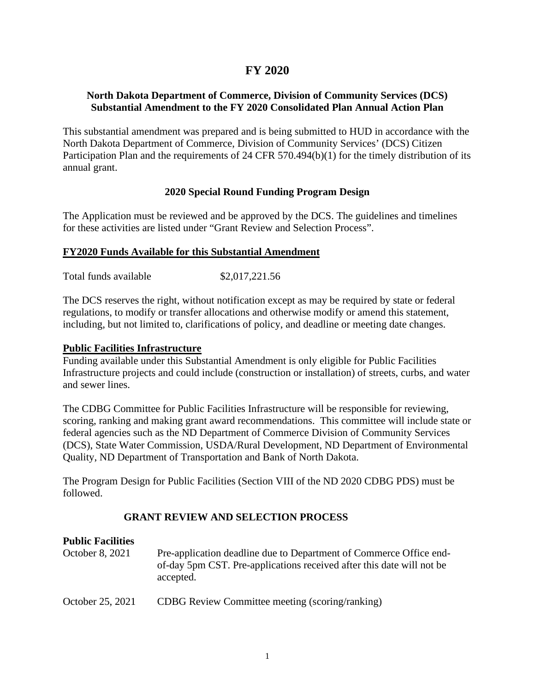# **FY 2020**

# **North Dakota Department of Commerce, Division of Community Services (DCS) Substantial Amendment to the FY 2020 Consolidated Plan Annual Action Plan**

This substantial amendment was prepared and is being submitted to HUD in accordance with the North Dakota Department of Commerce, Division of Community Services' (DCS) Citizen Participation Plan and the requirements of 24 CFR 570.494(b)(1) for the timely distribution of its annual grant.

# **2020 Special Round Funding Program Design**

The Application must be reviewed and be approved by the DCS. The guidelines and timelines for these activities are listed under "Grant Review and Selection Process".

#### **FY2020 Funds Available for this Substantial Amendment**

Total funds available \$2,017,221.56

The DCS reserves the right, without notification except as may be required by state or federal regulations, to modify or transfer allocations and otherwise modify or amend this statement, including, but not limited to, clarifications of policy, and deadline or meeting date changes.

#### **Public Facilities Infrastructure**

Funding available under this Substantial Amendment is only eligible for Public Facilities Infrastructure projects and could include (construction or installation) of streets, curbs, and water and sewer lines.

The CDBG Committee for Public Facilities Infrastructure will be responsible for reviewing, scoring, ranking and making grant award recommendations. This committee will include state or federal agencies such as the ND Department of Commerce Division of Community Services (DCS), State Water Commission, USDA/Rural Development, ND Department of Environmental Quality, ND Department of Transportation and Bank of North Dakota.

The Program Design for Public Facilities (Section VIII of the ND 2020 CDBG PDS) must be followed.

# **GRANT REVIEW AND SELECTION PROCESS**

# **Public Facilities**

| October 8, 2021  | Pre-application deadline due to Department of Commerce Office end-<br>of-day 5pm CST. Pre-applications received after this date will not be<br>accepted. |
|------------------|----------------------------------------------------------------------------------------------------------------------------------------------------------|
| October 25, 2021 | CDBG Review Committee meeting (scoring/ranking)                                                                                                          |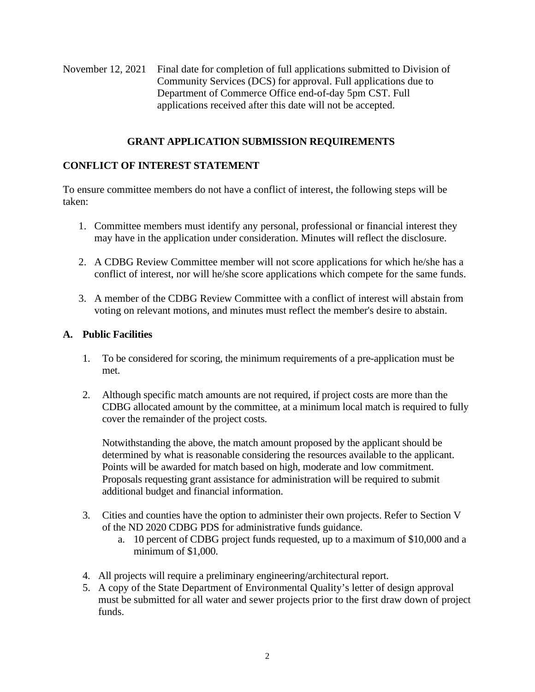November 12, 2021 Final date for completion of full applications submitted to Division of Community Services (DCS) for approval. Full applications due to Department of Commerce Office end-of-day 5pm CST. Full applications received after this date will not be accepted.

### **GRANT APPLICATION SUBMISSION REQUIREMENTS**

### **CONFLICT OF INTEREST STATEMENT**

To ensure committee members do not have a conflict of interest, the following steps will be taken:

- 1. Committee members must identify any personal, professional or financial interest they may have in the application under consideration. Minutes will reflect the disclosure.
- 2. A CDBG Review Committee member will not score applications for which he/she has a conflict of interest, nor will he/she score applications which compete for the same funds.
- 3. A member of the CDBG Review Committee with a conflict of interest will abstain from voting on relevant motions, and minutes must reflect the member's desire to abstain.

#### **A. Public Facilities**

- 1. To be considered for scoring, the minimum requirements of a pre-application must be met.
- 2. Although specific match amounts are not required, if project costs are more than the CDBG allocated amount by the committee, at a minimum local match is required to fully cover the remainder of the project costs.

Notwithstanding the above, the match amount proposed by the applicant should be determined by what is reasonable considering the resources available to the applicant. Points will be awarded for match based on high, moderate and low commitment. Proposals requesting grant assistance for administration will be required to submit additional budget and financial information.

- 3. Cities and counties have the option to administer their own projects. Refer to Section V of the ND 2020 CDBG PDS for administrative funds guidance.
	- a. 10 percent of CDBG project funds requested, up to a maximum of \$10,000 and a minimum of \$1,000.
- 4. All projects will require a preliminary engineering/architectural report.
- 5. A copy of the State Department of Environmental Quality's letter of design approval must be submitted for all water and sewer projects prior to the first draw down of project funds.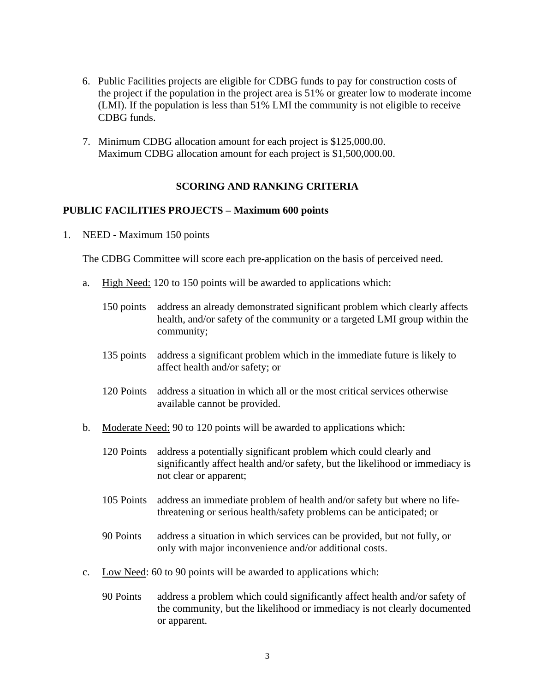- 6. Public Facilities projects are eligible for CDBG funds to pay for construction costs of the project if the population in the project area is 51% or greater low to moderate income (LMI). If the population is less than 51% LMI the community is not eligible to receive CDBG funds.
- 7. Minimum CDBG allocation amount for each project is \$125,000.00. Maximum CDBG allocation amount for each project is \$1,500,000.00.

#### **SCORING AND RANKING CRITERIA**

#### **PUBLIC FACILITIES PROJECTS – Maximum 600 points**

1. NEED - Maximum 150 points

The CDBG Committee will score each pre-application on the basis of perceived need.

- a. High Need: 120 to 150 points will be awarded to applications which:
	- 150 points address an already demonstrated significant problem which clearly affects health, and/or safety of the community or a targeted LMI group within the community;
	- 135 points address a significant problem which in the immediate future is likely to affect health and/or safety; or
	- 120 Points address a situation in which all or the most critical services otherwise available cannot be provided.
- b. Moderate Need: 90 to 120 points will be awarded to applications which:
	- 120 Points address a potentially significant problem which could clearly and significantly affect health and/or safety, but the likelihood or immediacy is not clear or apparent;
	- 105 Points address an immediate problem of health and/or safety but where no lifethreatening or serious health/safety problems can be anticipated; or
	- 90 Points address a situation in which services can be provided, but not fully, or only with major inconvenience and/or additional costs.
- c. Low Need: 60 to 90 points will be awarded to applications which:
	- 90 Points address a problem which could significantly affect health and/or safety of the community, but the likelihood or immediacy is not clearly documented or apparent.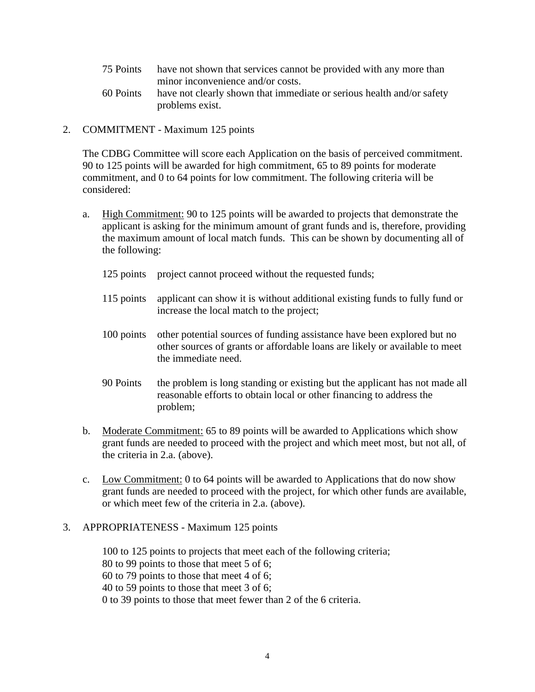- 75 Points have not shown that services cannot be provided with any more than minor inconvenience and/or costs.
- 60 Points have not clearly shown that immediate or serious health and/or safety problems exist.
- 2. COMMITMENT Maximum 125 points

The CDBG Committee will score each Application on the basis of perceived commitment. 90 to 125 points will be awarded for high commitment, 65 to 89 points for moderate commitment, and 0 to 64 points for low commitment. The following criteria will be considered:

- a. High Commitment: 90 to 125 points will be awarded to projects that demonstrate the applicant is asking for the minimum amount of grant funds and is, therefore, providing the maximum amount of local match funds. This can be shown by documenting all of the following:
	- 125 points project cannot proceed without the requested funds;
	- 115 points applicant can show it is without additional existing funds to fully fund or increase the local match to the project;
	- 100 points other potential sources of funding assistance have been explored but no other sources of grants or affordable loans are likely or available to meet the immediate need.
	- 90 Points the problem is long standing or existing but the applicant has not made all reasonable efforts to obtain local or other financing to address the problem;
- b. Moderate Commitment: 65 to 89 points will be awarded to Applications which show grant funds are needed to proceed with the project and which meet most, but not all, of the criteria in 2.a. (above).
- c. Low Commitment: 0 to 64 points will be awarded to Applications that do now show grant funds are needed to proceed with the project, for which other funds are available, or which meet few of the criteria in 2.a. (above).
- 3. APPROPRIATENESS Maximum 125 points

100 to 125 points to projects that meet each of the following criteria; 80 to 99 points to those that meet 5 of 6; 60 to 79 points to those that meet 4 of 6; 40 to 59 points to those that meet 3 of 6; 0 to 39 points to those that meet fewer than 2 of the 6 criteria.